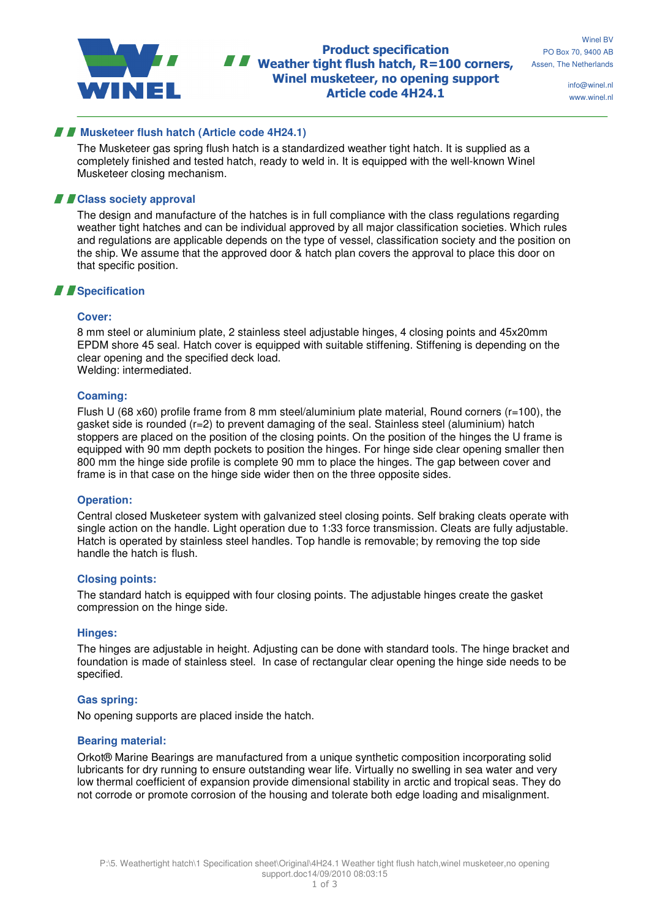

Product specification **N Weather tight flush hatch, R=100 corners,** Winel musketeer, no opening support Article code 4H24.1

info@winel.nl www.winel.nl

## *Musketeer flush hatch (Article code 4H24.1)*

The Musketeer gas spring flush hatch is a standardized weather tight hatch. It is supplied as a completely finished and tested hatch, ready to weld in. It is equipped with the well-known Winel Musketeer closing mechanism.

## **F** Class society approval

The design and manufacture of the hatches is in full compliance with the class regulations regarding weather tight hatches and can be individual approved by all major classification societies. Which rules and regulations are applicable depends on the type of vessel, classification society and the position on the ship. We assume that the approved door & hatch plan covers the approval to place this door on that specific position.

# *Specification*

## **Cover:**

8 mm steel or aluminium plate, 2 stainless steel adjustable hinges, 4 closing points and 45x20mm EPDM shore 45 seal. Hatch cover is equipped with suitable stiffening. Stiffening is depending on the clear opening and the specified deck load. Welding: intermediated.

#### **Coaming:**

Flush U (68 x60) profile frame from 8 mm steel/aluminium plate material, Round corners (r=100), the gasket side is rounded (r=2) to prevent damaging of the seal. Stainless steel (aluminium) hatch stoppers are placed on the position of the closing points. On the position of the hinges the U frame is equipped with 90 mm depth pockets to position the hinges. For hinge side clear opening smaller then 800 mm the hinge side profile is complete 90 mm to place the hinges. The gap between cover and frame is in that case on the hinge side wider then on the three opposite sides.

## **Operation:**

Central closed Musketeer system with galvanized steel closing points. Self braking cleats operate with single action on the handle. Light operation due to 1:33 force transmission. Cleats are fully adjustable. Hatch is operated by stainless steel handles. Top handle is removable; by removing the top side handle the hatch is flush.

#### **Closing points:**

The standard hatch is equipped with four closing points. The adjustable hinges create the gasket compression on the hinge side.

#### **Hinges:**

The hinges are adjustable in height. Adjusting can be done with standard tools. The hinge bracket and foundation is made of stainless steel. In case of rectangular clear opening the hinge side needs to be specified.

## **Gas spring:**

No opening supports are placed inside the hatch.

## **Bearing material:**

Orkot® Marine Bearings are manufactured from a unique synthetic composition incorporating solid lubricants for dry running to ensure outstanding wear life. Virtually no swelling in sea water and very low thermal coefficient of expansion provide dimensional stability in arctic and tropical seas. They do not corrode or promote corrosion of the housing and tolerate both edge loading and misalignment.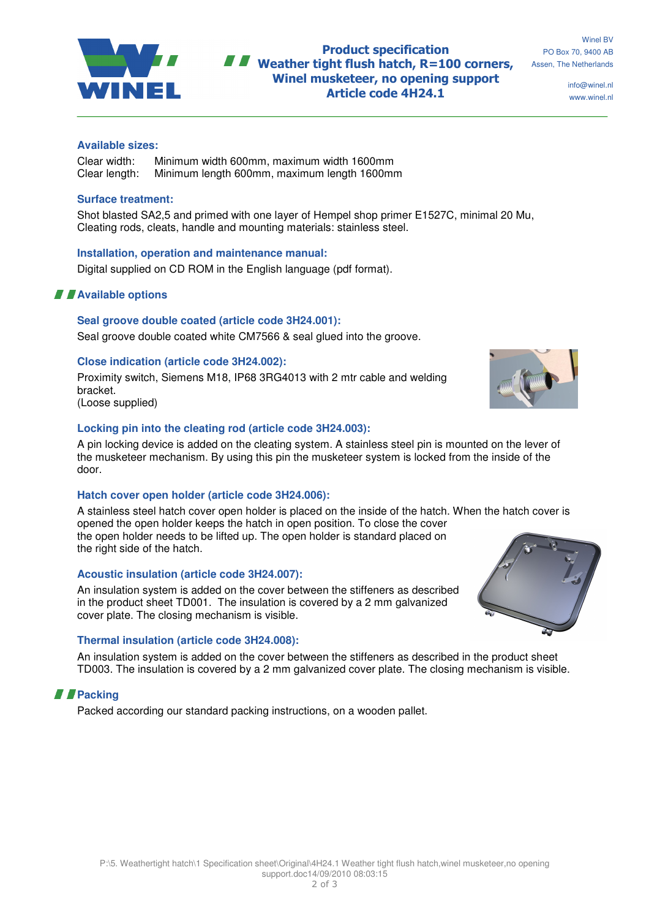

## Product specification  $\blacksquare$  Weather tight flush hatch, R=100 corners, Winel musketeer, no opening support Article code 4H24.1

info@winel.nl www.winel.nl

#### **Available sizes:**

Clear width: Minimum width 600mm, maximum width 1600mm Clear length: Minimum length 600mm, maximum length 1600mm

## **Surface treatment:**

Shot blasted SA2,5 and primed with one layer of Hempel shop primer E1527C, minimal 20 Mu, Cleating rods, cleats, handle and mounting materials: stainless steel.

#### **Installation, operation and maintenance manual:**

Digital supplied on CD ROM in the English language (pdf format).

## **Available options**

#### **Seal groove double coated (article code 3H24.001):**

Seal groove double coated white CM7566 & seal glued into the groove.

#### **Close indication (article code 3H24.002):**

Proximity switch, Siemens M18, IP68 3RG4013 with 2 mtr cable and welding bracket. (Loose supplied)

## **Locking pin into the cleating rod (article code 3H24.003):**

A pin locking device is added on the cleating system. A stainless steel pin is mounted on the lever of the musketeer mechanism. By using this pin the musketeer system is locked from the inside of the door.

## **Hatch cover open holder (article code 3H24.006):**

A stainless steel hatch cover open holder is placed on the inside of the hatch. When the hatch cover is opened the open holder keeps the hatch in open position. To close the cover the open holder needs to be lifted up. The open holder is standard placed on the right side of the hatch.

## **Acoustic insulation (article code 3H24.007):**

An insulation system is added on the cover between the stiffeners as described in the product sheet TD001. The insulation is covered by a 2 mm galvanized cover plate. The closing mechanism is visible.

## **Thermal insulation (article code 3H24.008):**

An insulation system is added on the cover between the stiffeners as described in the product sheet TD003. The insulation is covered by a 2 mm galvanized cover plate. The closing mechanism is visible.

## **Packing**

Packed according our standard packing instructions, on a wooden pallet.